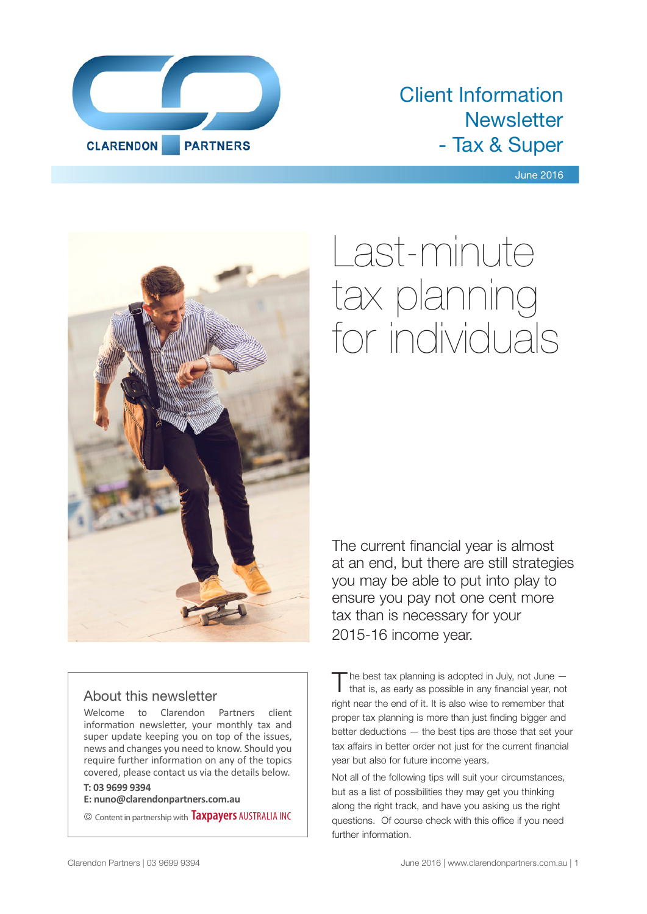

## Client Information **Newsletter** - Tax & Super

June 2016



# Last-minute tax planning for individuals

#### The current financial year is almost at an end, but there are still strategies you may be able to put into play to ensure you pay not one cent more tax than is necessary for your 2015-16 income year.

#### About this newsletter

Welcome to Clarendon Partners client information newsletter, your monthly tax and super update keeping you on top of the issues, news and changes you need to know. Should you require further information on any of the topics covered, please contact us via the details below.

#### **T: 03 9699 9394**

**E: nuno@clarendonpartners.com.au**

© Content in partnership with **Taxpayers** AUSTRALIA INC

The best tax planning is adopted in July, not June –<br>that is, as early as possible in any financial year, not right near the end of it. It is also wise to remember that proper tax planning is more than just finding bigger and better deductions — the best tips are those that set your tax affairs in better order not just for the current financial year but also for future income years.

Not all of the following tips will suit your circumstances, but as a list of possibilities they may get you thinking along the right track, and have you asking us the right questions. Of course check with this office if you need further information.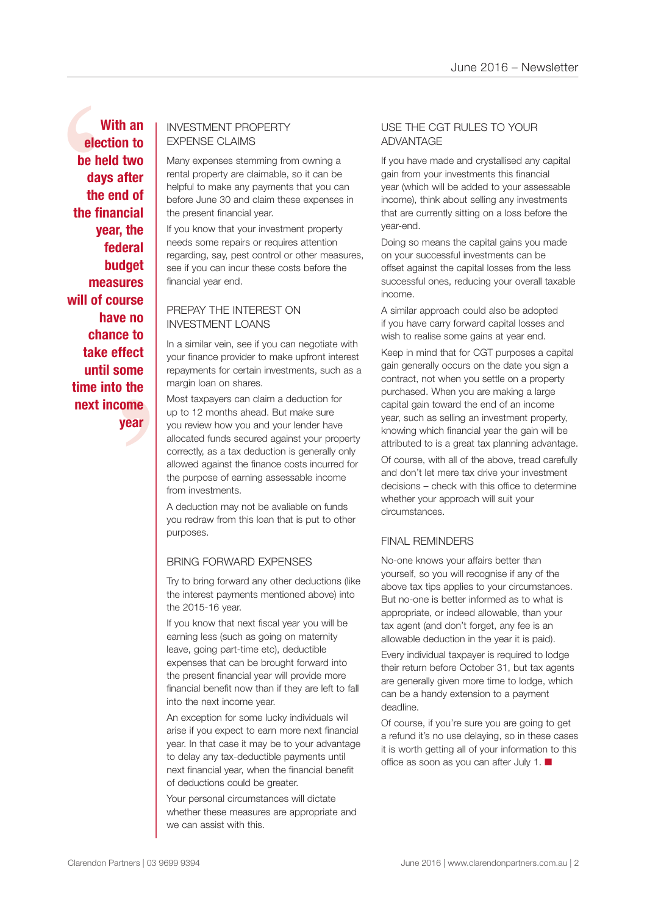e to<br>fect<br>ome<br>the<br>ome<br>year With an EXPENSE CLAIMS<br>
be held two<br>
days after<br>
the end of<br>
the financial<br>
year, the<br>
federal<br>
budget<br>
budget<br>
budget are if you can incur these cos **With an election to be held two days after the end of the financial year, the federal budget measures will of course have no chance to take effect until some time into the next income year**

## EXPENSE CLAIMS

Many expenses stemming from owning a rental property are claimable, so it can be helpful to make any payments that you can before June 30 and claim these expenses in the present financial year.

If you know that your investment property needs some repairs or requires attention regarding, say, pest control or other measures, see if you can incur these costs before the financial year end.

#### PREPAY THE INTEREST ON INVESTMENT LOANS

In a similar vein, see if you can negotiate with your finance provider to make upfront interest repayments for certain investments, such as a margin loan on shares.

Most taxpayers can claim a deduction for up to 12 months ahead. But make sure you review how you and your lender have allocated funds secured against your property correctly, as a tax deduction is generally only allowed against the finance costs incurred for the purpose of earning assessable income from investments.

A deduction may not be avaliable on funds you redraw from this loan that is put to other purposes.

#### BRING FORWARD EXPENSES

Try to bring forward any other deductions (like the interest payments mentioned above) into the 2015-16 year.

If you know that next fiscal year you will be earning less (such as going on maternity leave, going part-time etc), deductible expenses that can be brought forward into the present financial year will provide more financial benefit now than if they are left to fall into the next income year.

An exception for some lucky individuals will arise if you expect to earn more next financial year. In that case it may be to your advantage to delay any tax-deductible payments until next financial year, when the financial benefit of deductions could be greater.

Your personal circumstances will dictate whether these measures are appropriate and we can assist with this.

#### USE THE CGT RULES TO YOUR ADVANTAGE

If you have made and crystallised any capital gain from your investments this financial year (which will be added to your assessable income), think about selling any investments that are currently sitting on a loss before the year-end.

Doing so means the capital gains you made on your successful investments can be offset against the capital losses from the less successful ones, reducing your overall taxable income.

A similar approach could also be adopted if you have carry forward capital losses and wish to realise some gains at year end.

Keep in mind that for CGT purposes a capital gain generally occurs on the date you sign a contract, not when you settle on a property purchased. When you are making a large capital gain toward the end of an income year, such as selling an investment property, knowing which financial year the gain will be attributed to is a great tax planning advantage.

Of course, with all of the above, tread carefully and don't let mere tax drive your investment decisions – check with this office to determine whether your approach will suit your circumstances.

#### FINAL REMINDERS

No-one knows your affairs better than yourself, so you will recognise if any of the above tax tips applies to your circumstances. But no-one is better informed as to what is appropriate, or indeed allowable, than your tax agent (and don't forget, any fee is an allowable deduction in the year it is paid).

Every individual taxpayer is required to lodge their return before October 31, but tax agents are generally given more time to lodge, which can be a handy extension to a payment deadline.

Of course, if you're sure you are going to get a refund it's no use delaying, so in these cases it is worth getting all of your information to this office as soon as you can after July 1.  $\blacksquare$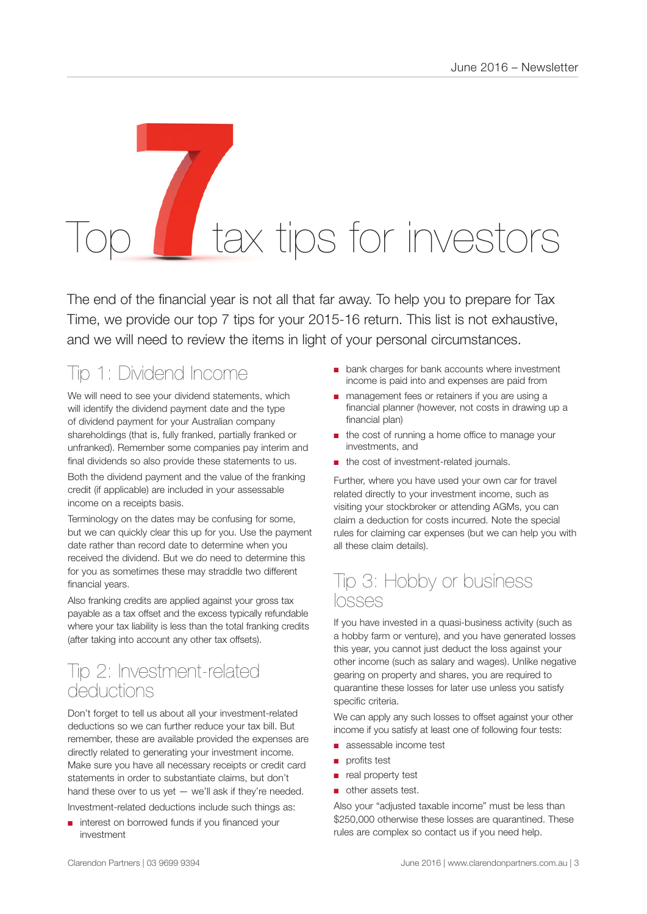# tax tips for investors

The end of the financial year is not all that far away. To help you to prepare for Tax Time, we provide our top 7 tips for your 2015-16 return. This list is not exhaustive, and we will need to review the items in light of your personal circumstances.

## Tip 1: Dividend Income

We will need to see your dividend statements, which will identify the dividend payment date and the type of dividend payment for your Australian company shareholdings (that is, fully franked, partially franked or unfranked). Remember some companies pay interim and final dividends so also provide these statements to us. Both the dividend payment and the value of the franking

credit (if applicable) are included in your assessable income on a receipts basis.

Terminology on the dates may be confusing for some, but we can quickly clear this up for you. Use the payment date rather than record date to determine when you received the dividend. But we do need to determine this for you as sometimes these may straddle two different financial years.

Also franking credits are applied against your gross tax payable as a tax offset and the excess typically refundable where your tax liability is less than the total franking credits (after taking into account any other tax offsets).

## Tip 2: Investment-related deductions

Don't forget to tell us about all your investment-related deductions so we can further reduce your tax bill. But remember, these are available provided the expenses are directly related to generating your investment income. Make sure you have all necessary receipts or credit card statements in order to substantiate claims, but don't hand these over to us yet  $-$  we'll ask if they're needed. Investment-related deductions include such things as:

interest on borrowed funds if you financed your investment

- bank charges for bank accounts where investment income is paid into and expenses are paid from
- management fees or retainers if you are using a financial planner (however, not costs in drawing up a financial plan)
- the cost of running a home office to manage your investments, and
- the cost of investment-related journals.

Further, where you have used your own car for travel related directly to your investment income, such as visiting your stockbroker or attending AGMs, you can claim a deduction for costs incurred. Note the special rules for claiming car expenses (but we can help you with all these claim details).

### Tip 3: Hobby or business losses

If you have invested in a quasi-business activity (such as a hobby farm or venture), and you have generated losses this year, you cannot just deduct the loss against your other income (such as salary and wages). Unlike negative gearing on property and shares, you are required to quarantine these losses for later use unless you satisfy specific criteria.

We can apply any such losses to offset against your other income if you satisfy at least one of following four tests:

- assessable income test
- profits test
- real property test
- other assets test.

Also your "adjusted taxable income" must be less than \$250,000 otherwise these losses are quarantined. These rules are complex so contact us if you need help.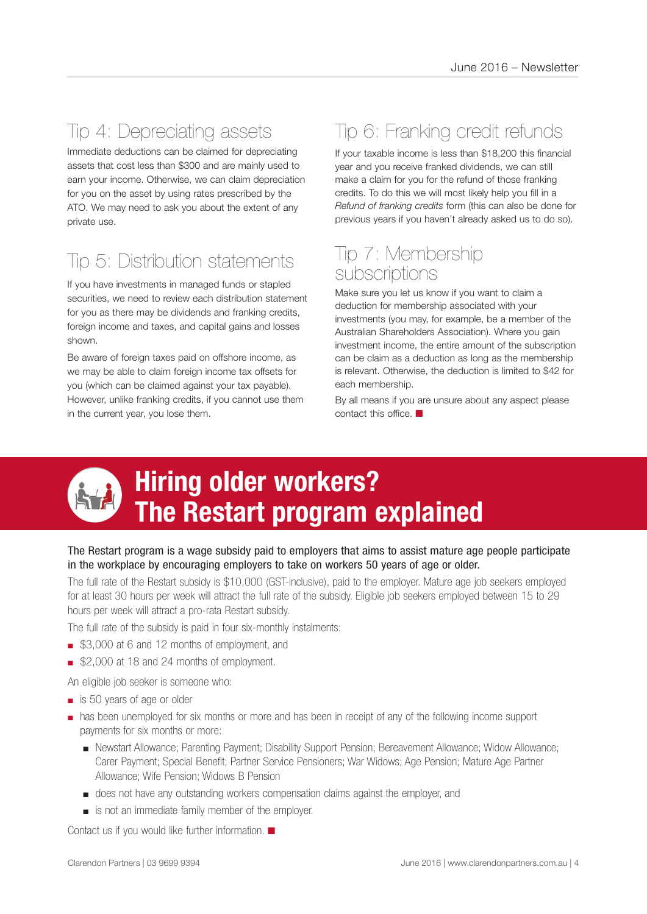## Tip 4: Depreciating assets

Immediate deductions can be claimed for depreciating assets that cost less than \$300 and are mainly used to earn your income. Otherwise, we can claim depreciation for you on the asset by using rates prescribed by the ATO. We may need to ask you about the extent of any private use.

## Tip 5: Distribution statements

If you have investments in managed funds or stapled securities, we need to review each distribution statement for you as there may be dividends and franking credits, foreign income and taxes, and capital gains and losses shown.

Be aware of foreign taxes paid on offshore income, as we may be able to claim foreign income tax offsets for you (which can be claimed against your tax payable). However, unlike franking credits, if you cannot use them in the current year, you lose them.

## Tip 6: Franking credit refunds

If your taxable income is less than \$18,200 this financial year and you receive franked dividends, we can still make a claim for you for the refund of those franking credits. To do this we will most likely help you fill in a *Refund of franking credits* form (this can also be done for previous years if you haven't already asked us to do so).

## Tip 7: Membership subscriptions

Make sure you let us know if you want to claim a deduction for membership associated with your investments (you may, for example, be a member of the Australian Shareholders Association). Where you gain investment income, the entire amount of the subscription can be claim as a deduction as long as the membership is relevant. Otherwise, the deduction is limited to \$42 for each membership.

By all means if you are unsure about any aspect please contact this office.  $\blacksquare$ 



## **Hiring older workers? The Restart program explained**

#### The Restart program is a wage subsidy paid to employers that aims to assist mature age people participate in the workplace by encouraging employers to take on workers 50 years of age or older.

The full rate of the Restart subsidy is \$10,000 (GST-inclusive), paid to the employer. Mature age job seekers employed for at least 30 hours per week will attract the full rate of the subsidy. Eligible job seekers employed between 15 to 29 hours per week will attract a pro-rata Restart subsidy.

The full rate of the subsidy is paid in four six-monthly instalments:

- \$3,000 at 6 and 12 months of employment, and
- \$2,000 at 18 and 24 months of employment.
- An eligible job seeker is someone who:
- is 50 years of age or older
- has been unemployed for six months or more and has been in receipt of any of the following income support payments for six months or more:
	- Newstart Allowance; Parenting Payment; Disability Support Pension; Bereavement Allowance; Widow Allowance; Carer Payment; Special Benefit; Partner Service Pensioners; War Widows; Age Pension; Mature Age Partner Allowance; Wife Pension; Widows B Pension
	- does not have any outstanding workers compensation claims against the employer, and
	- is not an immediate family member of the employer.

Contact us if you would like further information.  $\blacksquare$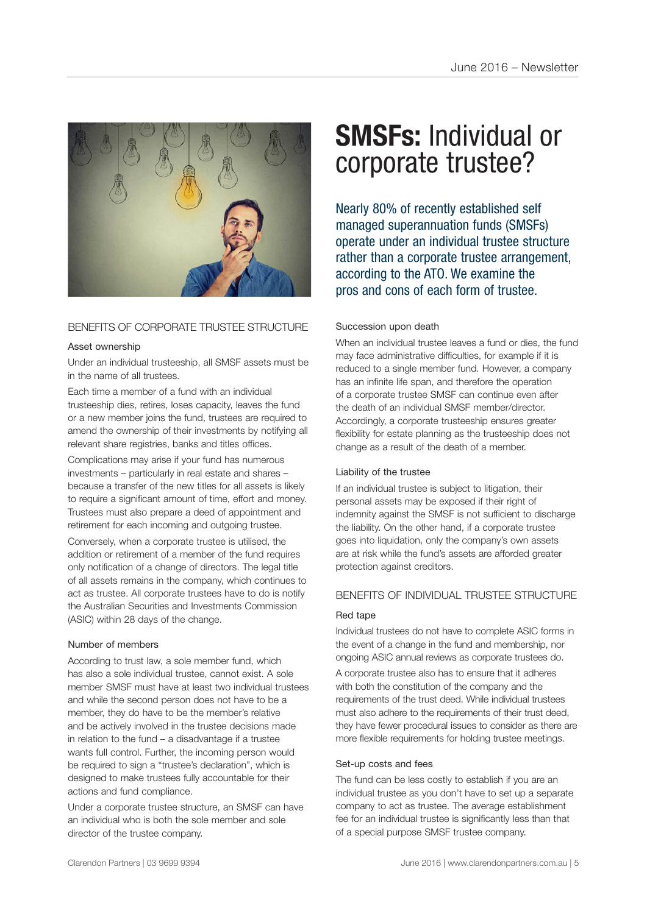

#### BENEFITS OF CORPORATE TRUSTEE STRUCTURE

#### Asset ownership

Under an individual trusteeship, all SMSF assets must be in the name of all trustees.

Each time a member of a fund with an individual trusteeship dies, retires, loses capacity, leaves the fund or a new member joins the fund, trustees are required to amend the ownership of their investments by notifying all relevant share registries, banks and titles offices.

Complications may arise if your fund has numerous investments – particularly in real estate and shares – because a transfer of the new titles for all assets is likely to require a significant amount of time, effort and money. Trustees must also prepare a deed of appointment and retirement for each incoming and outgoing trustee.

Conversely, when a corporate trustee is utilised, the addition or retirement of a member of the fund requires only notification of a change of directors. The legal title of all assets remains in the company, which continues to act as trustee. All corporate trustees have to do is notify the Australian Securities and Investments Commission (ASIC) within 28 days of the change.

#### Number of members

According to trust law, a sole member fund, which has also a sole individual trustee, cannot exist. A sole member SMSF must have at least two individual trustees and while the second person does not have to be a member, they do have to be the member's relative and be actively involved in the trustee decisions made in relation to the fund  $-$  a disadvantage if a trustee wants full control. Further, the incoming person would be required to sign a "trustee's declaration", which is designed to make trustees fully accountable for their actions and fund compliance.

Under a corporate trustee structure, an SMSF can have an individual who is both the sole member and sole director of the trustee company.

## **SMSFs:** Individual or corporate trustee?

Nearly 80% of recently established self managed superannuation funds (SMSFs) operate under an individual trustee structure rather than a corporate trustee arrangement, according to the ATO. We examine the pros and cons of each form of trustee.

#### Succession upon death

When an individual trustee leaves a fund or dies, the fund may face administrative difficulties, for example if it is reduced to a single member fund. However, a company has an infinite life span, and therefore the operation of a corporate trustee SMSF can continue even after the death of an individual SMSF member/director. Accordingly, a corporate trusteeship ensures greater flexibility for estate planning as the trusteeship does not change as a result of the death of a member.

#### Liability of the trustee

If an individual trustee is subject to litigation, their personal assets may be exposed if their right of indemnity against the SMSF is not sufficient to discharge the liability. On the other hand, if a corporate trustee goes into liquidation, only the company's own assets are at risk while the fund's assets are afforded greater protection against creditors.

#### BENEFITS OF INDIVIDUAL TRUSTEE STRUCTURE

#### Red tape

Individual trustees do not have to complete ASIC forms in the event of a change in the fund and membership, nor ongoing ASIC annual reviews as corporate trustees do.

A corporate trustee also has to ensure that it adheres with both the constitution of the company and the requirements of the trust deed. While individual trustees must also adhere to the requirements of their trust deed, they have fewer procedural issues to consider as there are more flexible requirements for holding trustee meetings.

#### Set-up costs and fees

The fund can be less costly to establish if you are an individual trustee as you don't have to set up a separate company to act as trustee. The average establishment fee for an individual trustee is significantly less than that of a special purpose SMSF trustee company.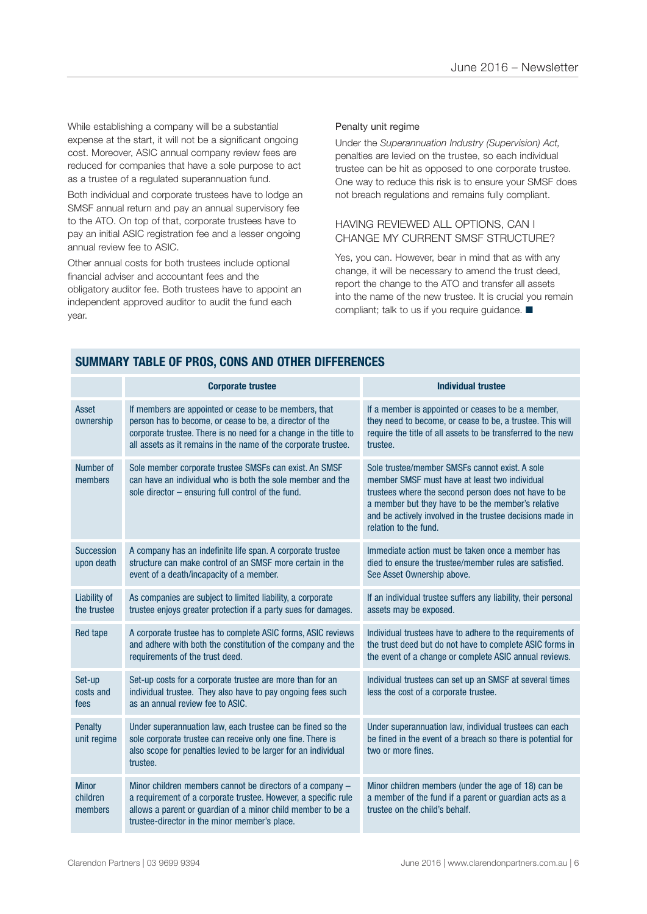While establishing a company will be a substantial expense at the start, it will not be a significant ongoing cost. Moreover, ASIC annual company review fees are reduced for companies that have a sole purpose to act as a trustee of a regulated superannuation fund.

Both individual and corporate trustees have to lodge an SMSF annual return and pay an annual supervisory fee to the ATO. On top of that, corporate trustees have to pay an initial ASIC registration fee and a lesser ongoing annual review fee to ASIC.

Other annual costs for both trustees include optional financial adviser and accountant fees and the obligatory auditor fee. Both trustees have to appoint an independent approved auditor to audit the fund each year.

#### Penalty unit regime

Under the *Superannuation Industry (Supervision) Act,* penalties are levied on the trustee, so each individual trustee can be hit as opposed to one corporate trustee. One way to reduce this risk is to ensure your SMSF does not breach regulations and remains fully compliant.

#### HAVING REVIEWED ALL OPTIONS, CAN I CHANGE MY CURRENT SMSF STRUCTURE?

Yes, you can. However, bear in mind that as with any change, it will be necessary to amend the trust deed, report the change to the ATO and transfer all assets into the name of the new trustee. It is crucial you remain compliant; talk to us if you require guidance.  $\blacksquare$ 

|                                     | <b>Corporate trustee</b>                                                                                                                                                                                                                               | <b>Individual trustee</b>                                                                                                                                                                                                                                                                           |
|-------------------------------------|--------------------------------------------------------------------------------------------------------------------------------------------------------------------------------------------------------------------------------------------------------|-----------------------------------------------------------------------------------------------------------------------------------------------------------------------------------------------------------------------------------------------------------------------------------------------------|
| Asset<br>ownership                  | If members are appointed or cease to be members, that<br>person has to become, or cease to be, a director of the<br>corporate trustee. There is no need for a change in the title to<br>all assets as it remains in the name of the corporate trustee. | If a member is appointed or ceases to be a member,<br>they need to become, or cease to be, a trustee. This will<br>require the title of all assets to be transferred to the new<br>trustee.                                                                                                         |
| Number of<br>members                | Sole member corporate trustee SMSFs can exist. An SMSF<br>can have an individual who is both the sole member and the<br>sole director $-$ ensuring full control of the fund.                                                                           | Sole trustee/member SMSFs cannot exist. A sole<br>member SMSF must have at least two individual<br>trustees where the second person does not have to be<br>a member but they have to be the member's relative<br>and be actively involved in the trustee decisions made in<br>relation to the fund. |
| <b>Succession</b><br>upon death     | A company has an indefinite life span. A corporate trustee<br>structure can make control of an SMSF more certain in the<br>event of a death/incapacity of a member.                                                                                    | Immediate action must be taken once a member has<br>died to ensure the trustee/member rules are satisfied.<br>See Asset Ownership above.                                                                                                                                                            |
| Liability of<br>the trustee         | As companies are subject to limited liability, a corporate<br>trustee enjoys greater protection if a party sues for damages.                                                                                                                           | If an individual trustee suffers any liability, their personal<br>assets may be exposed.                                                                                                                                                                                                            |
| <b>Red tape</b>                     | A corporate trustee has to complete ASIC forms, ASIC reviews<br>and adhere with both the constitution of the company and the<br>requirements of the trust deed.                                                                                        | Individual trustees have to adhere to the requirements of<br>the trust deed but do not have to complete ASIC forms in<br>the event of a change or complete ASIC annual reviews.                                                                                                                     |
| Set-up<br>costs and<br>fees         | Set-up costs for a corporate trustee are more than for an<br>individual trustee. They also have to pay ongoing fees such<br>as an annual review fee to ASIC.                                                                                           | Individual trustees can set up an SMSF at several times<br>less the cost of a corporate trustee.                                                                                                                                                                                                    |
| <b>Penalty</b><br>unit regime       | Under superannuation law, each trustee can be fined so the<br>sole corporate trustee can receive only one fine. There is<br>also scope for penalties levied to be larger for an individual<br>trustee.                                                 | Under superannuation law, individual trustees can each<br>be fined in the event of a breach so there is potential for<br>two or more fines.                                                                                                                                                         |
| <b>Minor</b><br>children<br>members | Minor children members cannot be directors of a company -<br>a requirement of a corporate trustee. However, a specific rule<br>allows a parent or guardian of a minor child member to be a<br>trustee-director in the minor member's place.            | Minor children members (under the age of 18) can be<br>a member of the fund if a parent or guardian acts as a<br>trustee on the child's behalf.                                                                                                                                                     |

#### **SUMMARY TABLE OF PROS, CONS AND OTHER DIFFERENCES**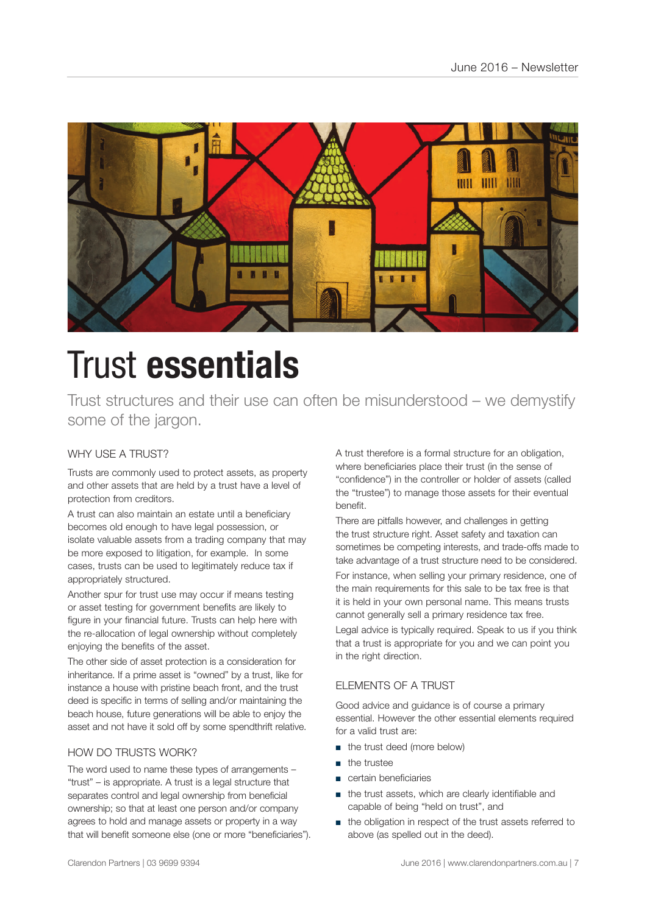

## Trust **essentials**

Trust structures and their use can often be misunderstood – we demystify some of the jargon.

#### WHY USE A TRUST?

Trusts are commonly used to protect assets, as property and other assets that are held by a trust have a level of protection from creditors.

A trust can also maintain an estate until a beneficiary becomes old enough to have legal possession, or isolate valuable assets from a trading company that may be more exposed to litigation, for example. In some cases, trusts can be used to legitimately reduce tax if appropriately structured.

Another spur for trust use may occur if means testing or asset testing for government benefits are likely to figure in your financial future. Trusts can help here with the re-allocation of legal ownership without completely enjoying the benefits of the asset.

The other side of asset protection is a consideration for inheritance. If a prime asset is "owned" by a trust, like for instance a house with pristine beach front, and the trust deed is specific in terms of selling and/or maintaining the beach house, future generations will be able to enjoy the asset and not have it sold off by some spendthrift relative.

#### HOW DO TRUSTS WORK?

The word used to name these types of arrangements – "trust" – is appropriate. A trust is a legal structure that separates control and legal ownership from beneficial ownership; so that at least one person and/or company agrees to hold and manage assets or property in a way that will benefit someone else (one or more "beneficiaries"). A trust therefore is a formal structure for an obligation, where beneficiaries place their trust (in the sense of "confidence") in the controller or holder of assets (called the "trustee") to manage those assets for their eventual benefit.

There are pitfalls however, and challenges in getting the trust structure right. Asset safety and taxation can sometimes be competing interests, and trade-offs made to take advantage of a trust structure need to be considered.

For instance, when selling your primary residence, one of the main requirements for this sale to be tax free is that it is held in your own personal name. This means trusts cannot generally sell a primary residence tax free.

Legal advice is typically required. Speak to us if you think that a trust is appropriate for you and we can point you in the right direction.

#### ELEMENTS OF A TRUST

Good advice and guidance is of course a primary essential. However the other essential elements required for a valid trust are:

- the trust deed (more below)
- the trustee
- certain beneficiaries
- the trust assets, which are clearly identifiable and capable of being "held on trust", and
- the obligation in respect of the trust assets referred to above (as spelled out in the deed).